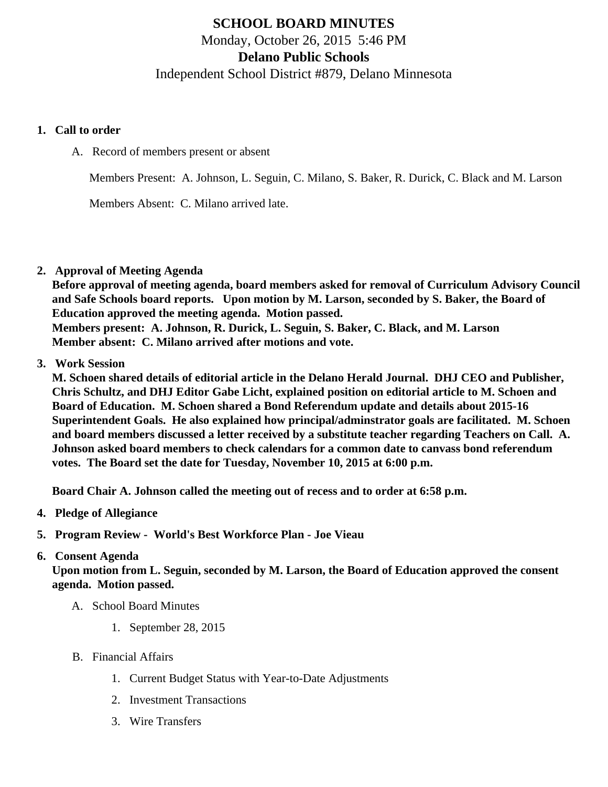# SCHOOL BOARD MINUTES Monday, October 26, 2015 5:46 PM Delano Public Schools Independent School District #879, Delano Minnesota

- 1. Call to order
	- A. Record of members present or absent

Members Present: A. Johnson, L. Seguin, C. Milano, S. Baker, R. Durick, C. Black and M. Larson

Members Absent: C. Milano arrived late.

2. Approval of Meeting Agenda

Before approval of meeting agenda, board members asked for removal of Curriculum Advisory Council and Safe Schools board reports. Upon motion by M. Larson, seconded by S. Baker, the Board of Education approved the meeting agenda. Motion passed. Members present: A. Johnson, R. Durick, L. Seguin, S. Baker, C. Black, and M. Larson Member absent: C. Milano arrived after motions and vote.

3. Work Session

M. Schoen shared details of editorial article in the Delano Herald Journal. DHJ CEO and Publisher, Chris Schultz, and DHJ Editor Gabe Licht, explained position on editorial article to M. Schoen and Board of Education. M. Schoen shared a Bond Referendum update and details about 2015-16 Superintendent Goals. He also explained how principal/adminstrator goals are facilitated. M. Schoen and board members discussed a letter received by a substitute teacher regarding Teachers on Call. A. Johnson asked board members to check calendars for a common date to canvass bond referendum votes. The Board set the date for Tuesday, November 10, 2015 at 6:00 p.m.

Board Chair A. Johnson called the meeting out of recess and to order at 6:58 p.m.

- 4. Pledge of Allegiance
- 5. Program Review [World's Best Workforce Plan](/docs/district/WBWF_Report_2014-15_(2).pdf) Joe Vieau

#### 6. Consent Agenda

Upon motion from L. Seguin, seconded by M. Larson, the Board of Education approved the consent agenda. Motion passed.

- A. School Board Minutes
	- 1. [September 28, 201](/docs/district/District_Forms/School_Board_Minutes_9.28.15.pdf)5
- B. Financial Affairs
	- 1. [Current Budget Status with Year-to-Date Adjustm](/docs/district/Business_Office/Budget_Report_Oct_2015.pdf)ents
	- 2. [Investment Transactio](/docs/district/Business_Office/Investment_schedule_15-16.pdf)ns
	- 3. [Wire Transfer](/docs/district/Business_Office/Wire_Transfer.pdf)s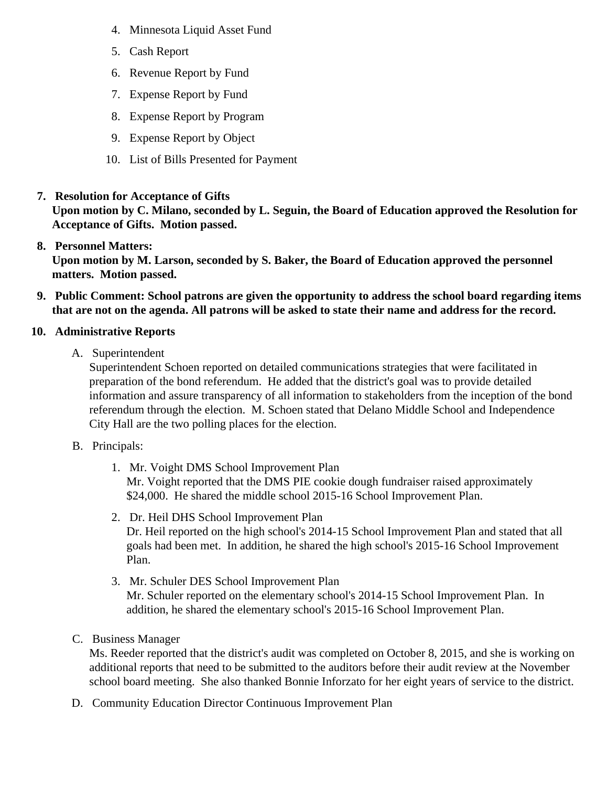- 4. [Minnesota Liquid Asset Fun](/docs/district/Business_Office/Liquid_Asset_Fund_FY16.pdf)d
- 5. [Cash Repo](/docs/district/Business_Office/Cash_Report.pdf)rt
- 6. [Revenue Report by Fu](/docs/district/Business_Office/SCHOOL_BOARD_REPORTS_-_REVENUE_BY_FUND_TOTAL__(Date__6_2016).pdf)nd
- 7. [Expense Report by Fu](/docs/district/Business_Office/SCHOOL_BOARD_REPORTS_-_EXP_BY_FUND_TOTAL__(Date__6_2016).pdf)nd
- 8. [Expense Report by Progra](/docs/district/Business_Office/SCHOOL_BOARD_REPORTS_-_EXPENDITURES_BY_PROGRAM__(Date__6_2016).pdf)m
- 9. [Expense Report by Obje](/docs/district/Business_Office/SCHOOL_BOARD_REPORTS_-_EXPENDITURES_BY_OBJECT__(Date__6_2016).pdf)ct
- 10. [List of Bills Presented for Payme](/docs/district/Business_Office/DETAIL_OF_MONTHLY_BILLS_PRESENTED_FOR_PAYMENT_(Dates__08_01_15_-_10_21_15).pdf)nt
- 7. [Resolution for Acceptance of Gifts](/docs/district/Business_Office/Resolution_for_Acceptance_of_Gifts_10.26.15.pdf)

Upon motion by C. Milano, seconded by L. Seguin, the Board of Education approved the Resolution for Acceptance of Gifts. Motion passed.

8. [Personnel Matters:](/docs/district/Business_Office/October_26,_2015_Personnel_Items.pdf)

Upon motion by M. Larson, seconded by S. Baker, the Board of Education approved the personnel matters. Motion passed.

- 9. Public Comment: School patrons are given the opportunity to address the school board regarding items that are not on the agenda. All patrons will be asked to state their name and address for the record.
- 10. Administrative Reports
	- A. Superintendent

Superintendent Schoen reported on detailed communications strategies that were facilitated in preparation of the bond referendum. He added that the district's goal was to provide detailed information and assure transparency of all information to stakeholders from the inception of the bor referendum through the election. M. Schoen stated that Delano Middle School and Independence City Hall are the two polling places for the election.

- B. Principals:
	- 1. Mr. Voight DMS [School Improvement Pla](/docs/DMS/DMS_SIP_15-16.pdf )n Mr. Voight reported that the DMS PIE cookie dough fundraiser raised approximately \$24,000. He shared the middle school 2015-16 School Improvement Plan.
	- 2. Dr. Heil DHS [School Improvement Pla](/docs/DHS/2015-2016_HS_SIP_(Board_Presentation)_.pdf)n Dr. Heil reported on the high school's 2014-15 School Improvement Plan and stated that all goals had been met. In addition, he shared the high school's 2015-16 School Improvement Plan.
	- 3. Mr. Schuler DESSchool Improvement Plan Mr. Schuler reported on the elementary school's 2014-15 School Improvement Plan. In addition, he shared the elementary school's 2015-16 School Improvement Plan.
- C. Business Manager

Ms. Reeder reported that the district's audit was completed on October 8, 2015, and she is working additional reports that need to be submitted to the auditors before their audit review at the Novemb school board meeting. She also thanked Bonnie Inforzato for her eight years of service to the distr

D. Community Education DirectoContinuous Improvement Plan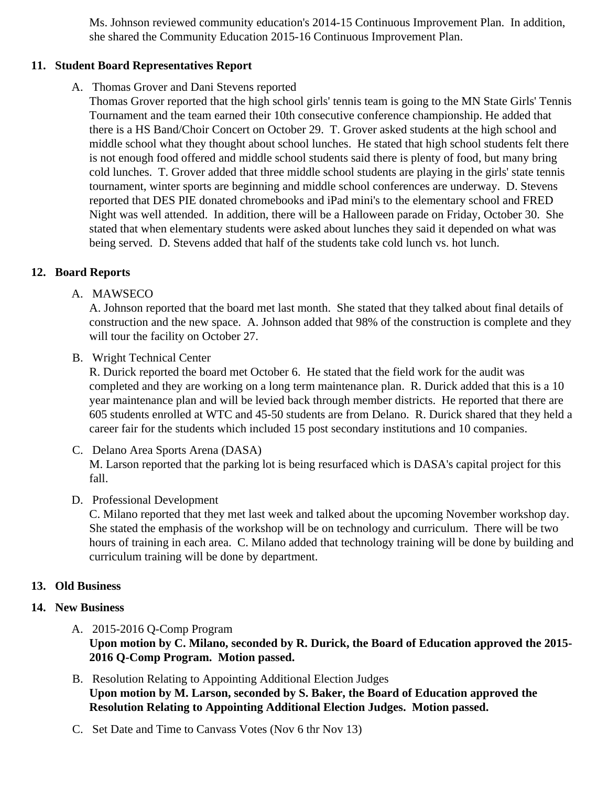Ms. Johnson reviewed community education's 2014-15 Continuous Improvement Plan. In addition, she shared the Community Education 2015-16 Continuous Improvement Plan.

### 11. Student Board Representatives Report

A. Thomas Grover and Dani Stevens reported

Thomas Grover reported that the high school girls' tennis team is going to the MN State Girls' Tenr Tournament and the team earned their 10th consecutive conference championship. He added that there is a HS Band/Choir Concert on October 29. T. Grover asked students at the high school and middle school what they thought about school lunches. He stated that high school students felt the is not enough food offered and middle school students said there is plenty of food, but many bring cold lunches. T. Grover added that three middle school students are playing in the girls' state tenn tournament, winter sports are beginning and middle school conferences are underway. D. Stevens reported that DES PIE donated chromebooks and iPad mini's to the elementary school and FRED Night was well attended. In addition, there will be a Halloween parade on Friday, October 30. She stated that when elementary students were asked about lunches they said it depended on what wa being served. D. Stevens added that half of the students take cold lunch vs. hot lunch.

#### 12. Board Reports

A. MAWSECO

A. Johnson reported that the board met last month. She stated that they talked about final details of construction and the new space. A. Johnson added that 98% of the construction is complete and t will tour the facility on October 27.

B. Wright Technical Center

R. Durick reported the board met October 6. He stated that the field work for the audit was completed and they are working on a long term maintenance plan. R. Durick added that this is a 1 year maintenance plan and will be levied back through member districts. He reported that there are 605 students enrolled at WTC and 45-50 students are from Delano. R. Durick shared that they held career fair for the students which included 15 post secondary institutions and 10 companies.

- C. Delano Area Sports Arena (DASA) M. Larson reported that the parking lot is being resurfaced which is DASA's capital project for this fall.
- D. Professional Development

C. Milano reported that they met last week and talked about the upcoming November workshop da She stated the emphasis of the workshop will be on technology and curriculum. There will be two hours of training in each area. C. Milano added that technology training will be done by building ar curriculum training will be done by department.

- 13. Old Business
- 14. New Business
	- A. 2015-2016 Q-Comp Program Upon motion by C. Milano, seconded by R. Durick, the Board of Education approved the 2015- 2016 Q-Comp Program. Motion passed.
	- B. [Resolution Relating to Appointing Additional Election Jud](/docs/district/District_Forms/Resolution_Relating_to_Appointing_Additional_Election_Judges_2015.pdf)ges Upon motion by M. Larson, seconded by S. Baker, the Board of Education approved the Resolution Relating to Appointing Additional Election Judges. Motion passed.
	- C. Set Date and Time to Canvass Votes (Nov 6 thr Nov 13)